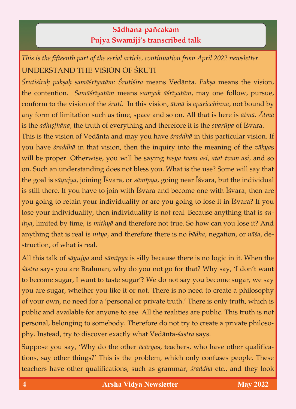## **Sädhana**-**païcakam Pujya Swamiji's transcribed talk**

*This is the fifteenth part of the serial article, continuation from April 2022 newsletter.*

Śrutiśirah paksah samāśrīyatām: Śrutiśira means Vedānta. Paksa means the vision, the contention. Samāśrīyatām means samyak āśrīyatām, may one follow, pursue, conform to the vision of the *śruti*. In this vision, *ātmā* is *aparicchinna*, not bound by any form of limitation such as time, space and so on. All that is here is  $\bar{\alpha}$ tmā.  $\bar{A}$ tmā is the *adhisthana*, the truth of everything and therefore it is the *svarūpa* of *Isvara*.

This is the vision of Vedānta and may you have *śraddhā* in this particular vision. If you have *śraddhā* in that vision, then the inquiry into the meaning of the *vākyas* will be proper. Otherwise, you will be saying tasya tvam asi, atat tvam asi, and so on. Such an understanding does not bless you. What is the use? Some will say that the goal is sāyujya, joining Īśvara, or sāmīpya, going near Īśvara, but the individual is still there. If you have to join with *E*svara and become one with *Esvara*, then are you going to retain your individuality or are you going to lose it in *I*svara? If you lose your individuality, then individuality is not real. Because anything that is an*itya*, limited by time, is *mithya* and therefore not true. So how can you lose it? And *itya*, limited by time, is *mithyä* and therefore not true. So how can you lose it? And anything that is real is *nitya*, and therefore there is no *bädha*, negation, or *näça*, de- $\mathbf{S}$  is really defined in  $\mathbf{S}$ 

All this talk of *sāyujya* and *sāmīpya* is silly because there is no logic in it. When the *śāstra* says you are Brahman, why do you not go for that? Why say, 'I don't want to become sugar, I want to taste sugar'? We do not say you become sugar, we say you are sugar, whether you like it or not. There is no need to create a philosophy of your own, no need for a 'personal or private truth.' There is only truth, which is public and available for anyone to see. All the realities are public. This truth is not personal, belonging to somebody. Therefore do not try to create a private philosopersonal, belonging to some body. Therefore do not try to create  $\mathbf{r}$  and  $\mathbf{r}$ phy. Instead, try to discover exactly what Vedänta-*çastra* says.

Suppose you say, 'Why do the other *ācāryas*, teachers, who have other qualifications, say other things?' This is the problem, which only confuses people. These  $\sigma$  other things  $\sigma$  and  $\sigma$  this is the problem, which only confuses people. These people. These people. These people. These people. The people of the people of the people of the people of the people of the people of teachers have other qualifications, such as grammar, *çraddhä* etc., and they look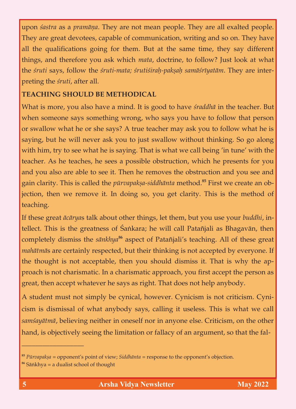upon *sastra* as a *pramāṇa*. They are not mean people. They are all exalted people.<br>They are great devotees, capable of communication, writing and so on. They have all the qualifications going for them. But at the same time, they say different things, and therefore you ask which *mata*, doctrine, to follow? Just look at what things, and therefore you ask which *mata*, doctrine, to follow? Just look at what the *çruti* says, follow the *çruti-mata; çrutiçiraù-pakñaù samäçréyatäm*. They are interpreting the *çruti*, after all.

## **TEACHING SHOULD BE METHODICAL**

What is more, you also have a mind. It is good to have *śraddhā* in the teacher. But when someone says something wrong, who says you have to follow that person or swallow what he or she says? A true teacher may ask you to follow what he is saying, but he will never ask you to just swallow without thinking. So go along with him, try to see what he is saying. That is what we call being 'in tune' with the teacher. As he teaches, he sees a possible obstruction, which he presents for you and you also are able to see it. Then he removes the obstruction and you see and and you also are able to see it. Then he removes the obstruction and you see and gain clarity. This is called the *purvapakṣa-siddhanta* method. Pirst we create an objection, then we remove it. In doing so, you get clarity. This is the method of teaching. The contract of the contract of the contract of the contract of the contract of the contract of the c<br>The contract of the contract of the contract of the contract of the contract of the contract of the contract o

If these great *äcärya*s talk about other things, let them, but you use your *buddhi*, in $t_{\text{ref}}$  is the greatness of  $\frac{1}{2}$  as  $\frac{1}{2}$  as  $\frac{1}{2}$  as  $\frac{1}{2}$  as  $\frac{1}{2}$  as  $\frac{1}{2}$  as  $\frac{1}{2}$  as  $\frac{1}{2}$  as  $\frac{1}{2}$  as  $\frac{1}{2}$  as  $\frac{1}{2}$  as  $\frac{1}{2}$  as  $\frac{1}{2}$  as  $\frac{1}{2}$  as  $\frac{1}{2}$ completely dismiss the *sunkhya* aspect of Patanjali's teaching. All of these great *mahātmās* are certainly respected, but their thinking is not accepted by everyone. If the thought is not acceptable, then you should dismiss it. That is why the approach is not charismatic. In a charismatic approach, you first accept the person as process is not charismatic. In a charismatic. In a charismatic approach,  $\mathbf{r}$  and  $\mathbf{r}$  $\beta$  and then accept what does not help any  $\beta$  is retained any  $\Gamma$  any  $\beta$ 

A student must not simply be cynical, however. Cynicism is not criticism. Cynicism is dismissal of what anybody says, calling it useless. This is what we call cism is dismissal of what any  $\frac{1}{2}$  any  $\frac{1}{2}$  is  $\frac{1}{2}$  of the calling it uses. This is what we call *samçayätmä*, believing neither in oneself nor in anyone else. Criticism, on the other hand, is objectively seeing the limitation or fallacy of an argument, so that the fal-

\_\_\_\_\_\_\_\_\_\_\_\_\_\_\_\_\_\_

<sup>85</sup> *Pūrvapakṣa* = opponent's point of view; *Siddhānta* = response to the opponent's objection. **<sup>86</sup>** Säìkhya *=* a dualist school of thought